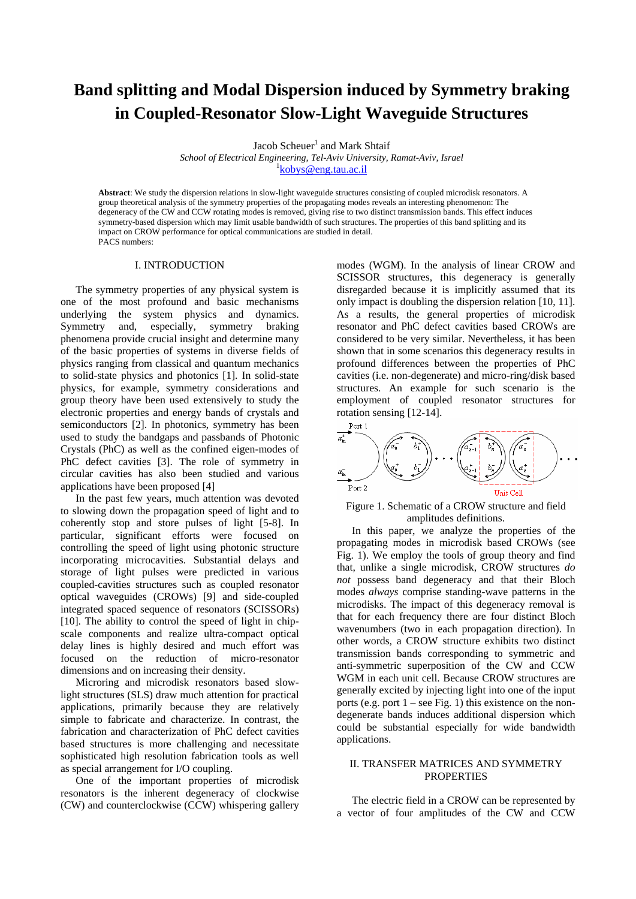# **Band splitting and Modal Dispersion induced by Symmetry braking in Coupled-Resonator Slow-Light Waveguide Structures**

Jacob Scheuer<sup>1</sup> and Mark Shtaif

*School of Electrical Engineering, Tel-Aviv University, Ramat-Aviv, Israel* [kobys@eng.tau.ac.il](mailto:kobys@eng.tau.ac.il)

**Abstract**: We study the dispersion relations in slow-light waveguide structures consisting of coupled microdisk resonators. A group theoretical analysis of the symmetry properties of the propagating modes reveals an interesting phenomenon: The degeneracy of the CW and CCW rotating modes is removed, giving rise to two distinct transmission bands. This effect induces symmetry-based dispersion which may limit usable bandwidth of such structures. The properties of this band splitting and its impact on CROW performance for optical communications are studied in detail. PACS numbers:

### I. INTRODUCTION

The symmetry properties of any physical system is one of the most profound and basic mechanisms underlying the system physics and dynamics. Symmetry and, especially, symmetry braking phenomena provide crucial insight and determine many of the basic properties of systems in diverse fields of physics ranging from classical and quantum mechanics to solid-state physics and photonics [1]. In solid-state physics, for example, symmetry considerations and group theory have been used extensively to study the electronic properties and energy bands of crystals and semiconductors [2]. In photonics, symmetry has been used to study the bandgaps and passbands of Photonic Crystals (PhC) as well as the confined eigen-modes of PhC defect cavities [3]. The role of symmetry in circular cavities has also been studied and various applications have been proposed [4]

In the past few years, much attention was devoted to slowing down the propagation speed of light and to coherently stop and store pulses of light [5-8]. In particular, significant efforts were focused on controlling the speed of light using photonic structure incorporating microcavities. Substantial delays and storage of light pulses were predicted in various coupled-cavities structures such as coupled resonator optical waveguides (CROWs) [9] and side-coupled integrated spaced sequence of resonators (SCISSORs) [10]. The ability to control the speed of light in chipscale components and realize ultra-compact optical delay lines is highly desired and much effort was focused on the reduction of micro-resonator dimensions and on increasing their density.

Microring and microdisk resonators based slowlight structures (SLS) draw much attention for practical applications, primarily because they are relatively simple to fabricate and characterize. In contrast, the fabrication and characterization of PhC defect cavities based structures is more challenging and necessitate sophisticated high resolution fabrication tools as well as special arrangement for I/O coupling.

One of the important properties of microdisk resonators is the inherent degeneracy of clockwise (CW) and counterclockwise (CCW) whispering gallery modes (WGM). In the analysis of linear CROW and SCISSOR structures, this degeneracy is generally disregarded because it is implicitly assumed that its only impact is doubling the dispersion relation [10, 11]. As a results, the general properties of microdisk resonator and PhC defect cavities based CROWs are considered to be very similar. Nevertheless, it has been shown that in some scenarios this degeneracy results in profound differences between the properties of PhC cavities (i.e. non-degenerate) and micro-ring/disk based structures. An example for such scenario is the employment of coupled resonator structures for rotation sensing [12-14].



Figure 1. Schematic of a CROW structure and field amplitudes definitions.

In this paper, we analyze the properties of the propagating modes in microdisk based CROWs (see Fig. 1). We employ the tools of group theory and find that, unlike a single microdisk, CROW structures *do not* possess band degeneracy and that their Bloch modes *always* comprise standing-wave patterns in the microdisks. The impact of this degeneracy removal is that for each frequency there are four distinct Bloch wavenumbers (two in each propagation direction). In other words, a CROW structure exhibits two distinct transmission bands corresponding to symmetric and anti-symmetric superposition of the CW and CCW WGM in each unit cell. Because CROW structures are generally excited by injecting light into one of the input ports (e.g. port 1 – see Fig. 1) this existence on the nondegenerate bands induces additional dispersion which could be substantial especially for wide bandwidth applications.

### II. TRANSFER MATRICES AND SYMMETRY **PROPERTIES**

The electric field in a CROW can be represented by a vector of four amplitudes of the CW and CCW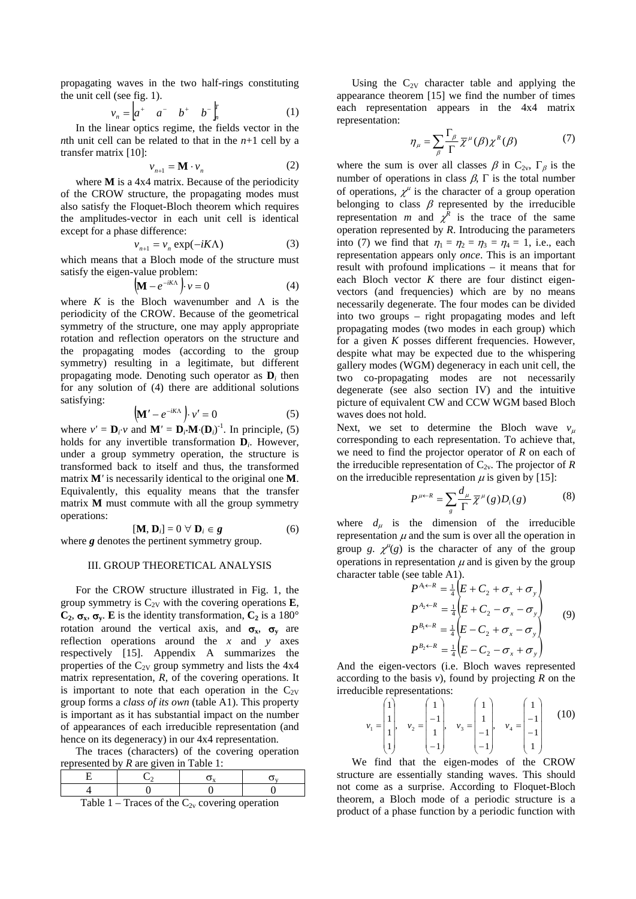propagating waves in the two half-rings constituting the unit cell (see fig. 1).

$$
v_n = \begin{bmatrix} a^+ & a^- & b^+ & b^- \end{bmatrix}_n^r \tag{1}
$$

In the linear optics regime, the fields vector in the *n*th unit cell can be related to that in the *n*+1 cell by a transfer matrix [10]:

$$
v_{n+1} = \mathbf{M} \cdot v_n \tag{2}
$$

where **M** is a 4x4 matrix. Because of the periodicity of the CROW structure, the propagating modes must also satisfy the Floquet-Bloch theorem which requires the amplitudes-vector in each unit cell is identical except for a phase difference:

$$
v_{n+1} = v_n \exp(-iK\Lambda) \tag{3}
$$

which means that a Bloch mode of the structure must satisfy the eigen-value problem:

$$
\left(\mathbf{M} - e^{-iK\Lambda}\right) \cdot v = 0\tag{4}
$$

where  $K$  is the Bloch wavenumber and  $\Lambda$  is the periodicity of the CROW. Because of the geometrical symmetry of the structure, one may apply appropriate rotation and reflection operators on the structure and the propagating modes (according to the group symmetry) resulting in a legitimate, but different propagating mode. Denoting such operator as  $D_i$  then for any solution of (4) there are additional solutions satisfying:

$$
\left(\mathbf{M}' - e^{-iK\Lambda}\right) \cdot v' = 0\tag{5}
$$

where  $v' = \mathbf{D}_i \cdot v$  and  $\mathbf{M}' = \mathbf{D}_i \cdot \mathbf{M} \cdot (\mathbf{D}_i)^{-1}$ . In principle, (5) holds for any invertible transformation **D***i*. However, under a group symmetry operation, the structure is transformed back to itself and thus, the transformed matrix **M***'* is necessarily identical to the original one **M**. Equivalently, this equality means that the transfer matrix **M** must commute with all the group symmetry operations:

[**M**, **D**<sub>i</sub>] = 
$$
0 \forall
$$
 **D**<sub>i</sub>  $\in$  **g** (6)  
where **g** denotes the pertinent symmetry group.

#### III. GROUP THEORETICAL ANALYSIS

For the CROW structure illustrated in Fig. 1, the group symmetry is  $C_{2V}$  with the covering operations **E**,  $C_2$ ,  $\sigma_x$ ,  $\sigma_y$ . **E** is the identity transformation,  $C_2$  is a 180° rotation around the vertical axis, and  $\sigma_x$ ,  $\sigma_y$  are reflection operations around the *x* and *y* axes respectively [15]. Appendix A summarizes the properties of the  $C_{2V}$  group symmetry and lists the  $4x4$ matrix representation, *R*, of the covering operations. It is important to note that each operation in the  $C_{2V}$ group forms a *class of its own* (table A1). This property is important as it has substantial impact on the number of appearances of each irreducible representation (and hence on its degeneracy) in our 4x4 representation.

The traces (characters) of the covering operation represented by *R* are given in Table 1:

| -- - - | $\sim$ $\sim$<br>$\sim$ | $\sim$ |  |
|--------|-------------------------|--------|--|

Table 1 – Traces of the  $C_{2v}$  covering operation

Using the  $C_{2V}$  character table and applying the appearance theorem [15] we find the number of times each representation appears in the 4x4 matrix representation:

$$
\eta_{\mu} = \sum_{\beta} \frac{\Gamma_{\beta}}{\Gamma} \overline{\chi}^{\mu}(\beta) \chi^R(\beta) \tag{7}
$$

where the sum is over all classes  $\beta$  in C<sub>2v</sub>,  $\Gamma_{\beta}$  is the number of operations in class  $β$ , Γ is the total number of operations,  $\chi^{\mu}$  is the character of a group operation belonging to class  $\beta$  represented by the irreducible representation *m* and  $\chi^R$  is the trace of the same operation represented by *R*. Introducing the parameters into (7) we find that  $\eta_1 = \eta_2 = \eta_3 = \eta_4 = 1$ , i.e., each representation appears only *once*. This is an important result with profound implications – it means that for each Bloch vector  $K$  there are four distinct eigenvectors (and frequencies) which are by no means necessarily degenerate. The four modes can be divided into two groups – right propagating modes and left propagating modes (two modes in each group) which for a given *K* posses different frequencies. However, despite what may be expected due to the whispering gallery modes (WGM) degeneracy in each unit cell, the two co-propagating modes are not necessarily degenerate (see also section IV) and the intuitive picture of equivalent CW and CCW WGM based Bloch waves does not hold.

Next, we set to determine the Bloch wave  $v_{\mu}$ corresponding to each representation. To achieve that, we need to find the projector operator of *R* on each of the irreducible representation of  $C_{2v}$ . The projector of *R* on the irreducible representation  $\mu$  is given by [15]:

$$
P^{\mu \leftarrow R} = \sum_{g} \frac{d_{\mu}}{\Gamma} \overline{\chi}^{\mu}(g) D_{i}(g) \tag{8}
$$

where  $d_u$  is the dimension of the irreducible representation  $\mu$  and the sum is over all the operation in group *g*.  $\chi^{\mu}(g)$  is the character of any of the group operations in representation  $\mu$  and is given by the group character table (see table A1).

$$
P^{A_1 \leftarrow R} = \frac{1}{4} \left( E + C_2 + \sigma_x + \sigma_y \right)
$$
  
\n
$$
P^{A_2 \leftarrow R} = \frac{1}{4} \left( E + C_2 - \sigma_x - \sigma_y \right)
$$
  
\n
$$
P^{B_1 \leftarrow R} = \frac{1}{4} \left( E - C_2 + \sigma_x - \sigma_y \right)
$$
  
\n
$$
P^{B_2 \leftarrow R} = \frac{1}{4} \left( E - C_2 - \sigma_x + \sigma_y \right)
$$
\n(9)

And the eigen-vectors (i.e. Bloch waves represented according to the basis  $v$ ), found by projecting  $R$  on the irreducible representations:

$$
v_1 = \begin{pmatrix} 1 \\ 1 \\ 1 \\ 1 \end{pmatrix}, \quad v_2 = \begin{pmatrix} 1 \\ -1 \\ 1 \\ -1 \end{pmatrix}, \quad v_3 = \begin{pmatrix} 1 \\ 1 \\ -1 \\ -1 \end{pmatrix}, \quad v_4 = \begin{pmatrix} 1 \\ -1 \\ -1 \\ 1 \end{pmatrix} \quad (10)
$$

We find that the eigen-modes of the CROW structure are essentially standing waves. This should not come as a surprise. According to Floquet-Bloch theorem, a Bloch mode of a periodic structure is a product of a phase function by a periodic function with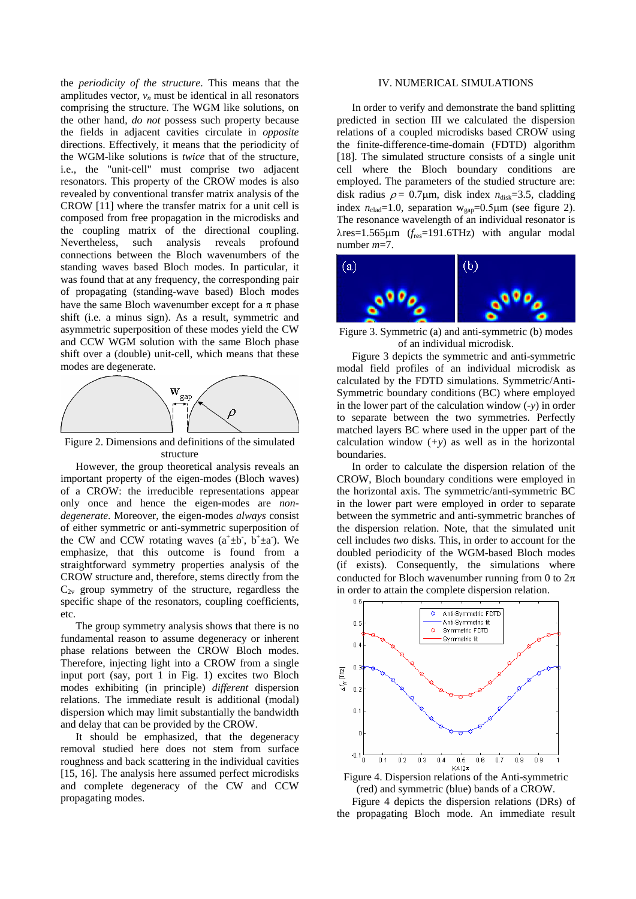the *periodicity of the structure*. This means that the amplitudes vector,  $v_n$  must be identical in all resonators comprising the structure. The WGM like solutions, on the other hand, *do not* possess such property because the fields in adjacent cavities circulate in *opposite* directions. Effectively, it means that the periodicity of the WGM-like solutions is *twice* that of the structure, i.e., the "unit-cell" must comprise two adjacent resonators. This property of the CROW modes is also revealed by conventional transfer matrix analysis of the CROW [11] where the transfer matrix for a unit cell is composed from free propagation in the microdisks and the coupling matrix of the directional coupling. Nevertheless, such analysis reveals profound connections between the Bloch wavenumbers of the standing waves based Bloch modes. In particular, it was found that at any frequency, the corresponding pair of propagating (standing-wave based) Bloch modes have the same Bloch wavenumber except for a  $\pi$  phase shift (i.e. a minus sign). As a result, symmetric and asymmetric superposition of these modes yield the CW and CCW WGM solution with the same Bloch phase shift over a (double) unit-cell, which means that these modes are degenerate.



Figure 2. Dimensions and definitions of the simulated structure

However, the group theoretical analysis reveals an important property of the eigen-modes (Bloch waves) of a CROW: the irreducible representations appear only once and hence the eigen-modes are *nondegenerate*. Moreover, the eigen-modes *always* consist of either symmetric or anti-symmetric superposition of the CW and CCW rotating waves  $(a^+\pm b, b^+\pm a)$ . We emphasize, that this outcome is found from a straightforward symmetry properties analysis of the CROW structure and, therefore, stems directly from the  $C_{2v}$  group symmetry of the structure, regardless the specific shape of the resonators, coupling coefficients, etc.

The group symmetry analysis shows that there is no fundamental reason to assume degeneracy or inherent phase relations between the CROW Bloch modes. Therefore, injecting light into a CROW from a single input port (say, port 1 in Fig. 1) excites two Bloch modes exhibiting (in principle) *different* dispersion relations. The immediate result is additional (modal) dispersion which may limit substantially the bandwidth and delay that can be provided by the CROW.

It should be emphasized, that the degeneracy removal studied here does not stem from surface roughness and back scattering in the individual cavities [15, 16]. The analysis here assumed perfect microdisks and complete degeneracy of the CW and CCW propagating modes.

#### IV. NUMERICAL SIMULATIONS

In order to verify and demonstrate the band splitting predicted in section III we calculated the dispersion relations of a coupled microdisks based CROW using the finite-difference-time-domain (FDTD) algorithm [18]. The simulated structure consists of a single unit cell where the Bloch boundary conditions are employed. The parameters of the studied structure are: disk radius  $\rho = 0.7$ μm, disk index  $n_{\text{disk}}=3.5$ , cladding index  $n_{\text{clad}} = 1.0$ , separation w<sub>gap</sub>=0.5 $\mu$ m (see figure 2). The resonance wavelength of an individual resonator is λres=1.565μm (*f*res=191.6THz) with angular modal number *m*=7.



Figure 3. Symmetric (a) and anti-symmetric (b) modes of an individual microdisk.

Figure 3 depicts the symmetric and anti-symmetric modal field profiles of an individual microdisk as calculated by the FDTD simulations. Symmetric/Anti-Symmetric boundary conditions (BC) where employed in the lower part of the calculation window (*-y*) in order to separate between the two symmetries. Perfectly matched layers BC where used in the upper part of the calculation window  $(+y)$  as well as in the horizontal **boundaries** 

In order to calculate the dispersion relation of the CROW, Bloch boundary conditions were employed in the horizontal axis. The symmetric/anti-symmetric BC in the lower part were employed in order to separate between the symmetric and anti-symmetric branches of the dispersion relation. Note, that the simulated unit cell includes *two* disks. This, in order to account for the doubled periodicity of the WGM-based Bloch modes (if exists). Consequently, the simulations where conducted for Bloch wavenumber running from 0 to  $2\pi$ in order to attain the complete dispersion relation.



Figure 4. Dispersion relations of the Anti-symmetric (red) and symmetric (blue) bands of a CROW.

Figure 4 depicts the dispersion relations (DRs) of the propagating Bloch mode. An immediate result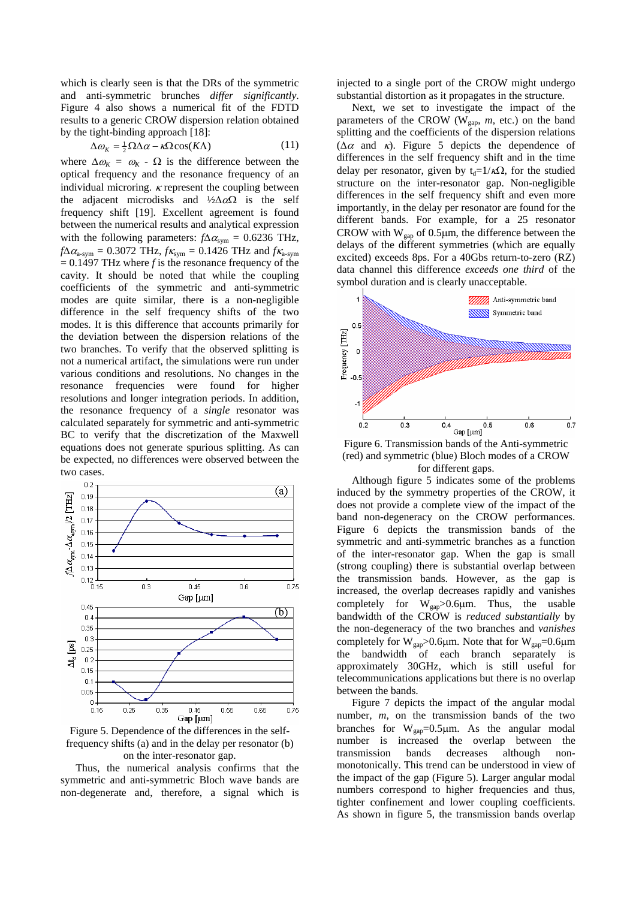which is clearly seen is that the DRs of the symmetric and anti-symmetric brunches *differ significantly*. Figure 4 also shows a numerical fit of the FDTD results to a generic CROW dispersion relation obtained by the tight-binding approach [18]:

$$
\Delta \omega_K = \frac{1}{2} \Omega \Delta \alpha - \kappa \Omega \cos(K\Lambda) \tag{11}
$$

where  $\Delta \omega_K = \omega_K - \Omega$  is the difference between the optical frequency and the resonance frequency of an individual microring.  $\kappa$  represent the coupling between the adjacent microdisks and  $\frac{1}{2}\Delta\alpha\Omega$  is the self frequency shift [19]. Excellent agreement is found between the numerical results and analytical expression with the following parameters:  $f\Delta\alpha_{sym} = 0.6236$  THz,  $f\Delta\alpha_{\text{a-sym}} = 0.3072 \text{ THz}, f\kappa_{\text{sym}} = 0.1426 \text{ THz} \text{ and } f\kappa_{\text{a-sym}}$  $= 0.1497$  THz where *f* is the resonance frequency of the cavity. It should be noted that while the coupling coefficients of the symmetric and anti-symmetric modes are quite similar, there is a non-negligible difference in the self frequency shifts of the two modes. It is this difference that accounts primarily for the deviation between the dispersion relations of the two branches. To verify that the observed splitting is not a numerical artifact, the simulations were run under various conditions and resolutions. No changes in the resonance frequencies were found for higher resolutions and longer integration periods. In addition, the resonance frequency of a *single* resonator was calculated separately for symmetric and anti-symmetric BC to verify that the discretization of the Maxwell equations does not generate spurious splitting. As can be expected, no differences were observed between the two cases.



Figure 5. Dependence of the differences in the selffrequency shifts (a) and in the delay per resonator (b) on the inter-resonator gap.

Thus, the numerical analysis confirms that the symmetric and anti-symmetric Bloch wave bands are non-degenerate and, therefore, a signal which is injected to a single port of the CROW might undergo substantial distortion as it propagates in the structure.

Next, we set to investigate the impact of the parameters of the CROW ( $W_{\text{gap}}$ ,  $m$ , etc.) on the band splitting and the coefficients of the dispersion relations  $(\Delta \alpha$  and  $\kappa)$ . Figure 5 depicts the dependence of differences in the self frequency shift and in the time delay per resonator, given by  $t_d=1/\kappa\Omega$ , for the studied structure on the inter-resonator gap. Non-negligible differences in the self frequency shift and even more importantly, in the delay per resonator are found for the different bands. For example, for a 25 resonator CROW with  $W_{gap}$  of 0.5 $\mu$ m, the difference between the delays of the different symmetries (which are equally excited) exceeds 8ps. For a 40Gbs return-to-zero (RZ) data channel this difference *exceeds one third* of the symbol duration and is clearly unacceptable.



Figure 6. Transmission bands of the Anti-symmetric (red) and symmetric (blue) Bloch modes of a CROW for different gaps.

Although figure 5 indicates some of the problems induced by the symmetry properties of the CROW, it does not provide a complete view of the impact of the band non-degeneracy on the CROW performances. Figure 6 depicts the transmission bands of the symmetric and anti-symmetric branches as a function of the inter-resonator gap. When the gap is small (strong coupling) there is substantial overlap between the transmission bands. However, as the gap is increased, the overlap decreases rapidly and vanishes completely for  $W_{\text{gap}} > 0.6 \mu m$ . Thus, the usable bandwidth of the CROW is *reduced substantially* by the non-degeneracy of the two branches and *vanishes* completely for  $W_{\text{gap}}$  > 0.6 $\mu$ m. Note that for  $W_{\text{gap}}$  = 0.6 $\mu$ m the bandwidth of each branch separately is approximately 30GHz, which is still useful for telecommunications applications but there is no overlap between the bands.

Figure 7 depicts the impact of the angular modal number, *m*, on the transmission bands of the two branches for  $W_{\text{gap}}=0.5\mu\text{m}$ . As the angular modal number is increased the overlap between the transmission bands decreases although nonmonotonically. This trend can be understood in view of the impact of the gap (Figure 5). Larger angular modal numbers correspond to higher frequencies and thus, tighter confinement and lower coupling coefficients. As shown in figure 5, the transmission bands overlap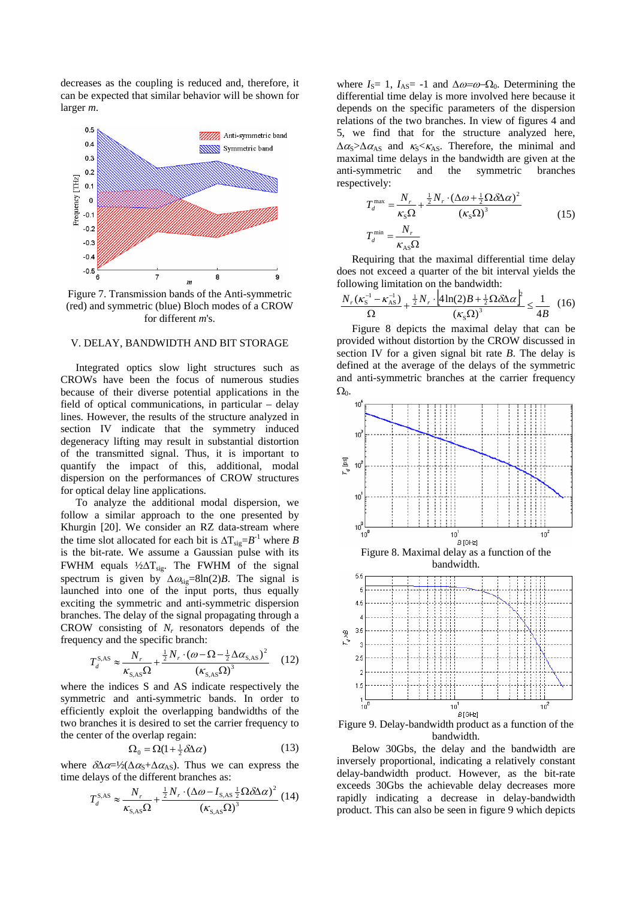decreases as the coupling is reduced and, therefore, it can be expected that similar behavior will be shown for larger *m*.



Figure 7. Transmission bands of the Anti-symmetric (red) and symmetric (blue) Bloch modes of a CROW for different *m*'s.

#### V. DELAY, BANDWIDTH AND BIT STORAGE

Integrated optics slow light structures such as CROWs have been the focus of numerous studies because of their diverse potential applications in the field of optical communications, in particular – delay lines. However, the results of the structure analyzed in section IV indicate that the symmetry induced degeneracy lifting may result in substantial distortion of the transmitted signal. Thus, it is important to quantify the impact of this, additional, modal dispersion on the performances of CROW structures for optical delay line applications.

To analyze the additional modal dispersion, we follow a similar approach to the one presented by Khurgin [20]. We consider an RZ data-stream where the time slot allocated for each bit is  $\Delta T_{\text{sig}} = B^{-1}$  where *B* is the bit-rate. We assume a Gaussian pulse with its FWHM equals  $\frac{1}{2}\Delta T_{sig}$ . The FWHM of the signal spectrum is given by  $\Delta \omega_{\text{sig}} = 8\ln(2)B$ . The signal is launched into one of the input ports, thus equally exciting the symmetric and anti-symmetric dispersion branches. The delay of the signal propagating through a CROW consisting of  $N_r$  resonators depends of the frequency and the specific branch:

$$
T_d^{S,AS} \approx \frac{N_r}{\kappa_{S,AS} \Omega} + \frac{\frac{1}{2} N_r \cdot (\omega - \Omega - \frac{1}{2} \Delta \alpha_{S,AS})^2}{(\kappa_{S,AS} \Omega)^3}
$$
 (12)

where the indices S and AS indicate respectively the symmetric and anti-symmetric bands. In order to efficiently exploit the overlapping bandwidths of the two branches it is desired to set the carrier frequency to the center of the overlap regain:

$$
\Omega_0 = \Omega(1 + \frac{1}{2}\delta\Delta\alpha) \tag{13}
$$

where  $\delta \Delta \alpha = \frac{1}{2} (\Delta \alpha_s + \Delta \alpha_{AS})$ . Thus we can express the time delays of the different branches as:

$$
T_d^{\text{S,AS}} \approx \frac{N_r}{\kappa_{\text{S,AS}}\Omega} + \frac{\frac{1}{2}N_r \cdot (\Delta\omega - I_{\text{S,AS}} \frac{1}{2}\Omega \delta\Delta\alpha)^2}{(\kappa_{\text{S,AS}}\Omega)^3} (14)
$$

where  $I_S = 1$ ,  $I_{AS} = -1$  and  $\Delta \omega = \omega - \Omega_0$ . Determining the differential time delay is more involved here because it depends on the specific parameters of the dispersion relations of the two branches. In view of figures 4 and 5, we find that for the structure analyzed here,  $\Delta \alpha_s > \Delta \alpha_{AS}$  and  $\kappa_s < \kappa_{AS}$ . Therefore, the minimal and maximal time delays in the bandwidth are given at the anti-symmetric and the symmetric branches respectively:

$$
T_d^{\max} = \frac{N_r}{\kappa_s \Omega} + \frac{\frac{1}{2} N_r \cdot (\Delta \omega + \frac{1}{2} \Omega \delta \Delta \alpha)^2}{(\kappa_s \Omega)^3}
$$
  
\n
$$
T_d^{\min} = \frac{N_r}{\kappa_{AS} \Omega}
$$
\n(15)

Requiring that the maximal differential time delay does not exceed a quarter of the bit interval yields the following limitation on the bandwidth:

$$
\frac{N_r(\kappa_{\rm s}^{-1} - \kappa_{\rm AS}^{-1})}{\Omega} + \frac{\frac{1}{2}N_r \cdot \left[4\ln(2)B + \frac{1}{2}\Omega \delta \Delta \alpha\right]^2}{\left(\kappa_{\rm s} \Omega\right)^3} \le \frac{1}{4B} \quad (16)
$$

Figure 8 depicts the maximal delay that can be provided without distortion by the CROW discussed in section IV for a given signal bit rate *B*. The delay is defined at the average of the delays of the symmetric and anti-symmetric branches at the carrier frequency  $\Omega_0$ .



Figure 9. Delay-bandwidth product as a function of the bandwidth.

Below 30Gbs, the delay and the bandwidth are inversely proportional, indicating a relatively constant delay-bandwidth product. However, as the bit-rate exceeds 30Gbs the achievable delay decreases more rapidly indicating a decrease in delay-bandwidth product. This can also be seen in figure 9 which depicts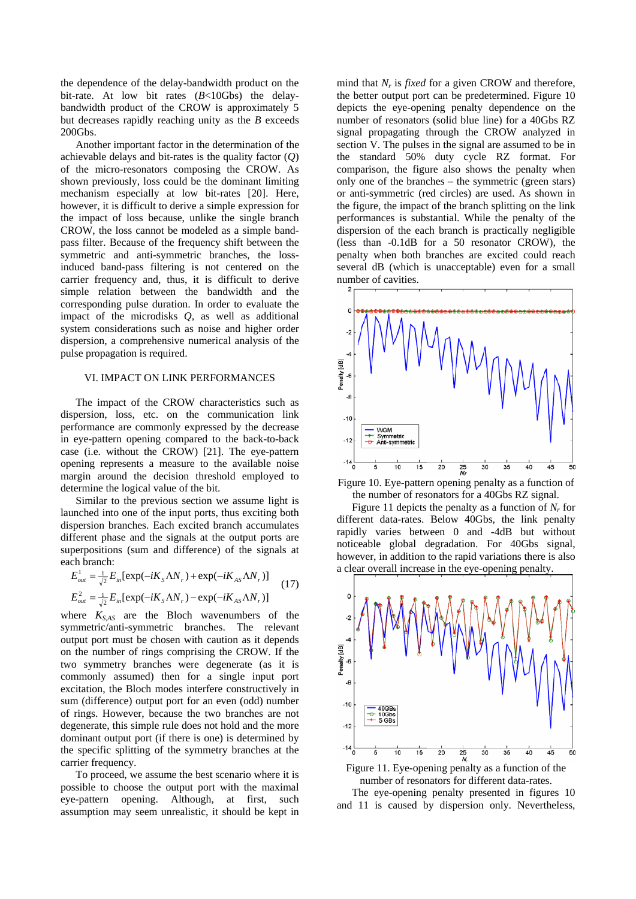the dependence of the delay-bandwidth product on the bit-rate. At low bit rates (*B*<10Gbs) the delaybandwidth product of the CROW is approximately 5 but decreases rapidly reaching unity as the *B* exceeds 200Gbs.

Another important factor in the determination of the achievable delays and bit-rates is the quality factor (*Q*) of the micro-resonators composing the CROW. As shown previously, loss could be the dominant limiting mechanism especially at low bit-rates [20]. Here, however, it is difficult to derive a simple expression for the impact of loss because, unlike the single branch CROW, the loss cannot be modeled as a simple bandpass filter. Because of the frequency shift between the symmetric and anti-symmetric branches, the lossinduced band-pass filtering is not centered on the carrier frequency and, thus, it is difficult to derive simple relation between the bandwidth and the corresponding pulse duration. In order to evaluate the impact of the microdisks *Q*, as well as additional system considerations such as noise and higher order dispersion, a comprehensive numerical analysis of the pulse propagation is required.

#### VI. IMPACT ON LINK PERFORMANCES

The impact of the CROW characteristics such as dispersion, loss, etc. on the communication link performance are commonly expressed by the decrease in eye-pattern opening compared to the back-to-back case (i.e. without the CROW) [21]. The eye-pattern opening represents a measure to the available noise margin around the decision threshold employed to determine the logical value of the bit.

Similar to the previous section we assume light is launched into one of the input ports, thus exciting both dispersion branches. Each excited branch accumulates different phase and the signals at the output ports are superpositions (sum and difference) of the signals at each branch:

$$
E_{out}^{1} = \frac{1}{\sqrt{2}} E_{in} [\exp(-iK_{S}\Lambda N_{r}) + \exp(-iK_{AS}\Lambda N_{r})]
$$
  

$$
E_{out}^{2} = \frac{1}{\sqrt{2}} E_{in} [\exp(-iK_{S}\Lambda N_{r}) - \exp(-iK_{AS}\Lambda N_{r})]
$$
 (17)

where  $K_{S,AS}$  are the Bloch wavenumbers of the symmetric/anti-symmetric branches. The relevant output port must be chosen with caution as it depends on the number of rings comprising the CROW. If the two symmetry branches were degenerate (as it is commonly assumed) then for a single input port excitation, the Bloch modes interfere constructively in sum (difference) output port for an even (odd) number of rings. However, because the two branches are not degenerate, this simple rule does not hold and the more dominant output port (if there is one) is determined by the specific splitting of the symmetry branches at the carrier frequency.

To proceed, we assume the best scenario where it is possible to choose the output port with the maximal eye-pattern opening. Although, at first, such assumption may seem unrealistic, it should be kept in

mind that *Nr* is *fixed* for a given CROW and therefore, the better output port can be predetermined. Figure 10 depicts the eye-opening penalty dependence on the number of resonators (solid blue line) for a 40Gbs RZ signal propagating through the CROW analyzed in section V. The pulses in the signal are assumed to be in the standard 50% duty cycle RZ format. For comparison, the figure also shows the penalty when only one of the branches – the symmetric (green stars) or anti-symmetric (red circles) are used. As shown in the figure, the impact of the branch splitting on the link performances is substantial. While the penalty of the dispersion of the each branch is practically negligible (less than -0.1dB for a 50 resonator CROW), the penalty when both branches are excited could reach several dB (which is unacceptable) even for a small number of cavities.



Figure 10. Eye-pattern opening penalty as a function of the number of resonators for a 40Gbs RZ signal.

Figure 11 depicts the penalty as a function of  $N_r$  for different data-rates. Below 40Gbs, the link penalty rapidly varies between 0 and -4dB but without noticeable global degradation. For 40Gbs signal, however, in addition to the rapid variations there is also a clear overall increase in the eye-opening penalty.



Figure 11. Eye-opening penalty as a function of the number of resonators for different data-rates.

The eye-opening penalty presented in figures 10 and 11 is caused by dispersion only. Nevertheless,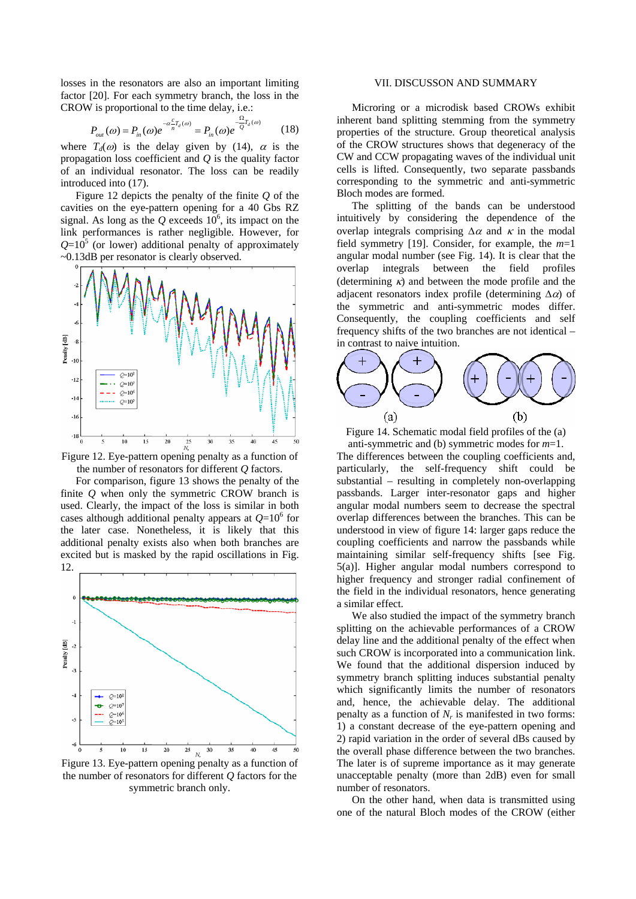losses in the resonators are also an important limiting factor [20]. For each symmetry branch, the loss in the CROW is proportional to the time delay, i.e.:

$$
P_{out}(\omega) = P_{in}(\omega)e^{-\alpha \frac{C}{n}T_d(\omega)} = P_{in}(\omega)e^{-\frac{\Omega}{Q}T_d(\omega)} \qquad (18)
$$

where  $T_d(\omega)$  is the delay given by (14),  $\alpha$  is the propagation loss coefficient and *Q* is the quality factor of an individual resonator. The loss can be readily introduced into (17).

Figure 12 depicts the penalty of the finite *Q* of the cavities on the eye-pattern opening for a 40 Gbs RZ signal. As long as the  $Q$  exceeds  $10^6$ , its impact on the link performances is rather negligible. However, for  $Q=10^5$  (or lower) additional penalty of approximately ~0.13dB per resonator is clearly observed.



Figure 12. Eye-pattern opening penalty as a function of the number of resonators for different *Q* factors.

For comparison, figure 13 shows the penalty of the finite *Q* when only the symmetric CROW branch is used. Clearly, the impact of the loss is similar in both cases although additional penalty appears at  $Q=10^6$  for the later case. Nonetheless, it is likely that this additional penalty exists also when both branches are excited but is masked by the rapid oscillations in Fig. 12.



Figure 13. Eye-pattern opening penalty as a function of the number of resonators for different *Q* factors for the symmetric branch only.

#### VII. DISCUSSON AND SUMMARY

Microring or a microdisk based CROWs exhibit inherent band splitting stemming from the symmetry properties of the structure. Group theoretical analysis of the CROW structures shows that degeneracy of the CW and CCW propagating waves of the individual unit cells is lifted. Consequently, two separate passbands corresponding to the symmetric and anti-symmetric Bloch modes are formed.

The splitting of the bands can be understood intuitively by considering the dependence of the overlap integrals comprising  $\Delta \alpha$  and  $\kappa$  in the modal field symmetry [19]. Consider, for example, the *m*=1 angular modal number (see Fig. 14). It is clear that the overlap integrals between the field profiles (determining  $\kappa$ ) and between the mode profile and the adjacent resonators index profile (determining  $\Delta \alpha$ ) of the symmetric and anti-symmetric modes differ. Consequently, the coupling coefficients and self frequency shifts of the two branches are not identical – in contrast to naive intuition.



Figure 14. Schematic modal field profiles of the (a) anti-symmetric and (b) symmetric modes for *m*=1.

The differences between the coupling coefficients and, particularly, the self-frequency shift could be substantial – resulting in completely non-overlapping passbands. Larger inter-resonator gaps and higher angular modal numbers seem to decrease the spectral overlap differences between the branches. This can be understood in view of figure 14: larger gaps reduce the coupling coefficients and narrow the passbands while maintaining similar self-frequency shifts [see Fig. 5(a)]. Higher angular modal numbers correspond to higher frequency and stronger radial confinement of the field in the individual resonators, hence generating a similar effect.

We also studied the impact of the symmetry branch splitting on the achievable performances of a CROW delay line and the additional penalty of the effect when such CROW is incorporated into a communication link. We found that the additional dispersion induced by symmetry branch splitting induces substantial penalty which significantly limits the number of resonators and, hence, the achievable delay. The additional penalty as a function of  $N_r$  is manifested in two forms: 1) a constant decrease of the eye-pattern opening and 2) rapid variation in the order of several dBs caused by the overall phase difference between the two branches. The later is of supreme importance as it may generate unacceptable penalty (more than 2dB) even for small number of resonators.

On the other hand, when data is transmitted using one of the natural Bloch modes of the CROW (either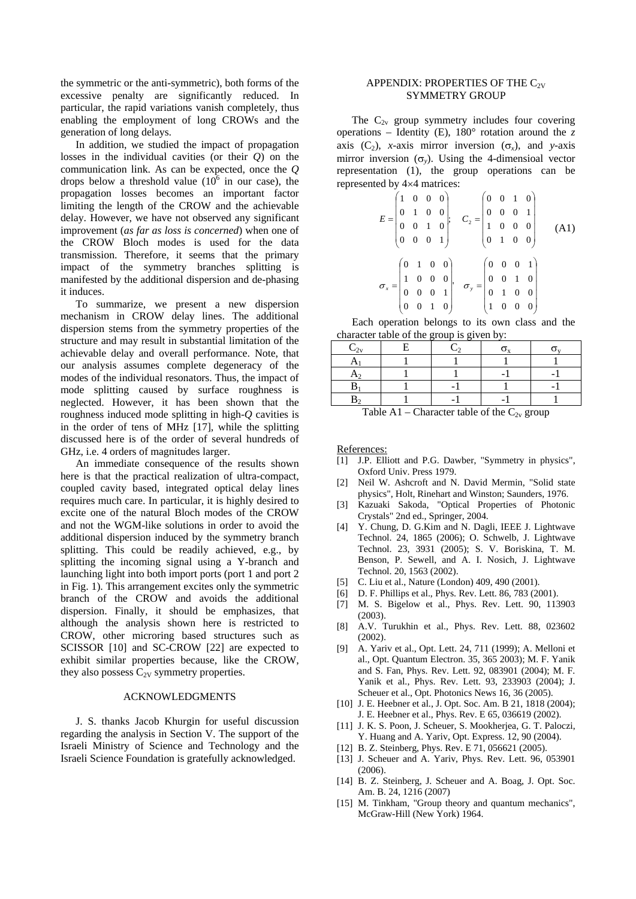the symmetric or the anti-symmetric), both forms of the excessive penalty are significantly reduced. In particular, the rapid variations vanish completely, thus enabling the employment of long CROWs and the generation of long delays.

In addition, we studied the impact of propagation losses in the individual cavities (or their *Q*) on the communication link. As can be expected, once the *Q* drops below a threshold value  $(10^6$  in our case), the propagation losses becomes an important factor limiting the length of the CROW and the achievable delay. However, we have not observed any significant improvement (*as far as loss is concerned*) when one of the CROW Bloch modes is used for the data transmission. Therefore, it seems that the primary impact of the symmetry branches splitting is manifested by the additional dispersion and de-phasing it induces.

To summarize, we present a new dispersion mechanism in CROW delay lines. The additional dispersion stems from the symmetry properties of the structure and may result in substantial limitation of the achievable delay and overall performance. Note, that our analysis assumes complete degeneracy of the modes of the individual resonators. Thus, the impact of mode splitting caused by surface roughness is neglected. However, it has been shown that the roughness induced mode splitting in high-*Q* cavities is in the order of tens of MHz [17], while the splitting discussed here is of the order of several hundreds of GHz, i.e. 4 orders of magnitudes larger.

An immediate consequence of the results shown here is that the practical realization of ultra-compact, coupled cavity based, integrated optical delay lines requires much care. In particular, it is highly desired to excite one of the natural Bloch modes of the CROW and not the WGM-like solutions in order to avoid the additional dispersion induced by the symmetry branch splitting. This could be readily achieved, e.g., by splitting the incoming signal using a Y-branch and launching light into both import ports (port 1 and port 2 in Fig. 1). This arrangement excites only the symmetric branch of the CROW and avoids the additional dispersion. Finally, it should be emphasizes, that although the analysis shown here is restricted to CROW, other microring based structures such as SCISSOR [10] and SC-CROW [22] are expected to exhibit similar properties because, like the CROW, they also possess  $C_{2V}$  symmetry properties.

## ACKNOWLEDGMENTS

J. S. thanks Jacob Khurgin for useful discussion regarding the analysis in Section V. The support of the Israeli Ministry of Science and Technology and the Israeli Science Foundation is gratefully acknowledged.

#### APPENDIX: PROPERTIES OF THE  $C_{2V}$ SYMMETRY GROUP

The  $C_{2v}$  group symmetry includes four covering operations – Identity (E), 180° rotation around the *z* axis (C<sub>2</sub>), *x*-axis mirror inversion ( $\sigma_x$ ), and *y*-axis mirror inversion  $(\sigma_{\nu})$ . Using the 4-dimensioal vector representation (1), the group operations can be represented by 4×4 matrices:

|                                                                                                                                                                                                                              | $E = \begin{pmatrix} 1 & 0 & 0 & 0 \\ 0 & 1 & 0 & 0 \\ 0 & 0 & 1 & 0 \\ 0 & 0 & 0 & 1 \end{pmatrix}; \quad C_2 = \begin{pmatrix} 0 & 0 & 1 & 0 \\ 0 & 0 & 0 & 1 \\ 1 & 0 & 0 & 0 \\ 0 & 1 & 0 & 0 \end{pmatrix}$ (A1) |  |
|------------------------------------------------------------------------------------------------------------------------------------------------------------------------------------------------------------------------------|-----------------------------------------------------------------------------------------------------------------------------------------------------------------------------------------------------------------------|--|
| $\sigma_x = \begin{pmatrix} 0 & 1 & 0 & 0 \\ 1 & 0 & 0 & 0 \\ 0 & 0 & 0 & 1 \\ 0 & 0 & 1 & 0 \end{pmatrix}, \quad \sigma_y = \begin{pmatrix} 0 & 0 & 0 & 1 \\ 0 & 0 & 1 & 0 \\ 0 & 1 & 0 & 0 \\ 1 & 0 & 0 & 0 \end{pmatrix}$ |                                                                                                                                                                                                                       |  |

Each operation belongs to its own class and the character table of the group is given by:

| $-24$<br>$\sim$ $\sim$<br>.<br>the contract of the con- |  |  |  |  |  |
|---------------------------------------------------------|--|--|--|--|--|

Table A1 – Character table of the  $C_{2v}$  group

References:

- [1] J.P. Elliott and P.G. Dawber, "Symmetry in physics", Oxford Univ. Press 1979.
- [2] Neil W. Ashcroft and N. David Mermin, "Solid state physics", Holt, Rinehart and Winston; Saunders, 1976.
- [3] Kazuaki Sakoda, "Optical Properties of Photonic Crystals" 2nd ed., Springer, 2004.
- [4] Y. Chung, D. G.Kim and N. Dagli, IEEE J. Lightwave Technol. 24, 1865 (2006); O. Schwelb, J. Lightwave Technol. 23, 3931 (2005); S. V. Boriskina, T. M. Benson, P. Sewell, and A. I. Nosich, J. Lightwave Technol. 20, 1563 (2002).
- [5] C. Liu et al., Nature (London) 409, 490 (2001).
- [6] D. F. Phillips et al., Phys. Rev. Lett. 86, 783 (2001).
- [7] M. S. Bigelow et al., Phys. Rev. Lett. 90, 113903 (2003).
- [8] A.V. Turukhin et al., Phys. Rev. Lett. 88, 023602 (2002).
- [9] A. Yariv et al., Opt. Lett. 24, 711 (1999); A. Melloni et al., Opt. Quantum Electron. 35, 365 2003); M. F. Yanik and S. Fan, Phys. Rev. Lett. 92, 083901 (2004); M. F. Yanik et al., Phys. Rev. Lett. 93, 233903 (2004); J. Scheuer et al., Opt. Photonics News 16, 36 (2005).
- [10] J. E. Heebner et al., J. Opt. Soc. Am. B 21, 1818 (2004); J. E. Heebner et al., Phys. Rev. E 65, 036619 (2002).
- [11] J. K. S. Poon, J. Scheuer, S. Mookherjea, G. T. Paloczi, Y. Huang and A. Yariv, Opt. Express. 12, 90 (2004).
- [12] B. Z. Steinberg, Phys. Rev. E 71, 056621 (2005).
- [13] J. Scheuer and A. Yariv, Phys. Rev. Lett. 96, 053901 (2006).
- [14] B. Z. Steinberg, J. Scheuer and A. Boag, J. Opt. Soc. Am. B. 24, 1216 (2007)
- [15] M. Tinkham, "Group theory and quantum mechanics". McGraw-Hill (New York) 1964.